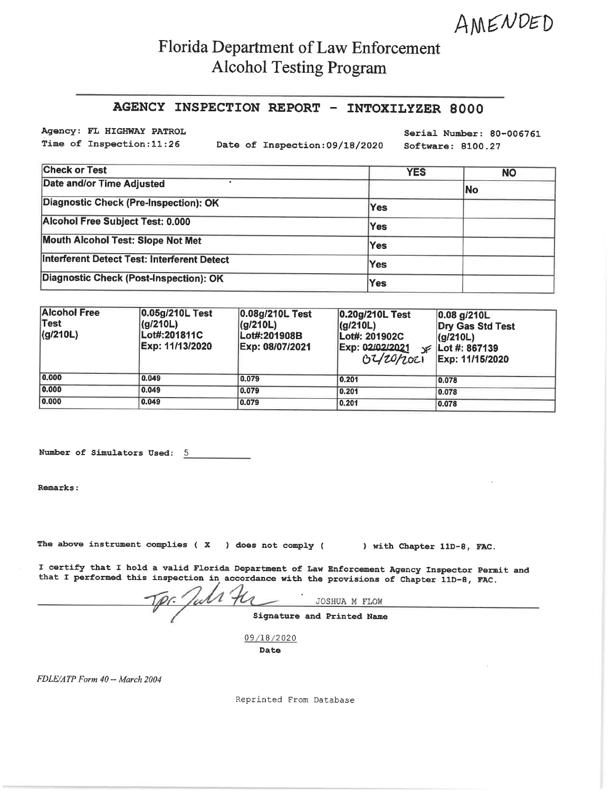AMENDED

## Florida Department of Law Enforcement **Alcohol Testing Program**

## AGENCY INSPECTION REPORT - INTOXILYZER 8000

Agency: FL HIGHWAY PATROL Time of Inspection: 11:26

Date of Inspection: 09/18/2020

Serial Number: 80-006761 Software: 8100.27

| <b>Check or Test</b>                        | <b>YES</b> | <b>NO</b> |
|---------------------------------------------|------------|-----------|
| Date and/or Time Adjusted                   |            | No        |
| Diagnostic Check (Pre-Inspection): OK       | <b>Yes</b> |           |
| Alcohol Free Subject Test: 0.000            | Yes        |           |
| Mouth Alcohol Test: Slope Not Met           | Yes        |           |
| Interferent Detect Test: Interferent Detect | Yes        |           |
| Diagnostic Check (Post-Inspection): OK      | Yes        |           |

| <b>Alcohol Free</b><br>∣Test∶<br> (g/210L) | 0.05g/210L Test<br>(g/210L)<br>Lot#:201811C<br>Exp: 11/13/2020 | 0.08g/210L Test<br>(q/210L)<br>Lot#:201908B<br>Exp: 08/07/2021 | 0.20g/210L Test<br>(g/210L)<br>Lot#: 201902C<br>Exp: 02/02/2021<br>02/20/2021 | 0.08 g/210L<br>Dry Gas Std Test<br>(g/210L)<br>$\sqrt{25}$   Lot #: 867139<br>Exp: 11/15/2020 |
|--------------------------------------------|----------------------------------------------------------------|----------------------------------------------------------------|-------------------------------------------------------------------------------|-----------------------------------------------------------------------------------------------|
| 0.000                                      | 0.049                                                          | 0.079                                                          | 0.201                                                                         | 0.078                                                                                         |
| 0.000                                      | 0.049                                                          | 0.079                                                          | 0.201                                                                         | 0.078                                                                                         |
| 0.000                                      | 0.049                                                          | 0.079                                                          | 0.201                                                                         | 0.078                                                                                         |

Number of Simulators Used: 5

Remarks:

The above instrument complies ( $X$ ) does not comply (

) with Chapter 11D-8, FAC.

I certify that I hold a valid Florida Department of Law Enforcement Agency Inspector Permit and that I performed this inspection in accordance with the provisions of Chapter 11D-8, FAC.

With the JOSHUA M FLOW Signature and Printed Name

09/18/2020

Date

FDLE/ATP Form 40 -- March 2004

Reprinted From Database